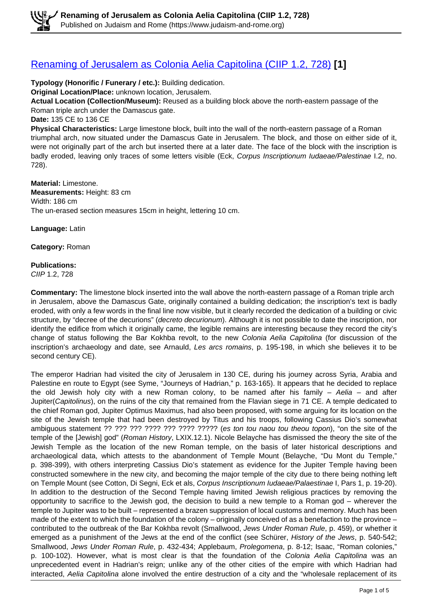#### [Renaming of Jerusalem as Colonia Aelia Capitolina \(CIIP 1.2, 728\)](https://www.judaism-and-rome.org/renaming-jerusalem-colonia-aelia-capitolina-ciip-12-728) **[1]**

**Typology (Honorific / Funerary / etc.):** Building dedication.

**Original Location/Place:** unknown location, Jerusalem.

**Actual Location (Collection/Museum):** Reused as a building block above the north-eastern passage of the Roman triple arch under the Damascus gate.

**Date:** 135 CE to 136 CE

**Physical Characteristics:** Large limestone block, built into the wall of the north-eastern passage of a Roman triumphal arch, now situated under the Damascus Gate in Jerusalem. The block, and those on either side of it, were not originally part of the arch but inserted there at a later date. The face of the block with the inscription is badly eroded, leaving only traces of some letters visible (Eck, Corpus Inscriptionum Iudaeae/Palestinae I.2, no. 728).

**Material:** Limestone. **Measurements:** Height: 83 cm Width: 186 cm The un-erased section measures 15cm in height, lettering 10 cm.

**Language:** Latin

**Category:** Roman

#### **Publications:**

CIIP 1.2, 728

**Commentary:** The limestone block inserted into the wall above the north-eastern passage of a Roman triple arch in Jerusalem, above the Damascus Gate, originally contained a building dedication; the inscription's text is badly eroded, with only a few words in the final line now visible, but it clearly recorded the dedication of a building or civic structure, by "decree of the decurions" (*decreto decurionum*). Although it is not possible to date the inscription, nor identify the edifice from which it originally came, the legible remains are interesting because they record the city's change of status following the Bar Kokhba revolt, to the new Colonia Aelia Capitolina (for discussion of the inscription's archaeology and date, see Arnauld, Les arcs romains, p. 195-198, in which she believes it to be second century CE).

The emperor Hadrian had visited the city of Jerusalem in 130 CE, during his journey across Syria, Arabia and Palestine en route to Egypt (see Syme, "Journeys of Hadrian," p. 163-165). It appears that he decided to replace the old Jewish holy city with a new Roman colony, to be named after his family  $-$  Aelia  $-$  and after Jupiter(Capitolinus), on the ruins of the city that remained from the Flavian siege in 71 CE. A temple dedicated to the chief Roman god, Jupiter Optimus Maximus, had also been proposed, with some arguing for its location on the site of the Jewish temple that had been destroyed by Titus and his troops, following Cassius Dio's somewhat ambiguous statement ?? ??? ??? ???? ??? ???? ????? (es ton tou naou tou theou topon), "on the site of the temple of the [Jewish] god" (Roman History, LXIX.12.1). Nicole Belayche has dismissed the theory the site of the Jewish Temple as the location of the new Roman temple, on the basis of later historical descriptions and archaeological data, which attests to the abandonment of Temple Mount (Belayche, "Du Mont du Temple," p. 398-399), with others interpreting Cassius Dio's statement as evidence for the Jupiter Temple having been constructed somewhere in the new city, and becoming the major temple of the city due to there being nothing left on Temple Mount (see Cotton, Di Segni, Eck et als, Corpus Inscriptionum Iudaeae/Palaestinae I, Pars 1, p. 19-20). In addition to the destruction of the Second Temple having limited Jewish religious practices by removing the opportunity to sacrifice to the Jewish god, the decision to build a new temple to a Roman god – wherever the temple to Jupiter was to be built – represented a brazen suppression of local customs and memory. Much has been made of the extent to which the foundation of the colony – originally conceived of as a benefaction to the province – contributed to the outbreak of the Bar Kokhba revolt (Smallwood, Jews Under Roman Rule, p. 459), or whether it emerged as a punishment of the Jews at the end of the conflict (see Schürer, History of the Jews, p. 540-542; Smallwood, Jews Under Roman Rule, p. 432-434; Applebaum, Prolegomena, p. 8-12; Isaac, "Roman colonies," p. 100-102). However, what is most clear is that the foundation of the Colonia Aelia Capitolina was an unprecedented event in Hadrian's reign; unlike any of the other cities of the empire with which Hadrian had interacted, Aelia Capitolina alone involved the entire destruction of a city and the "wholesale replacement of its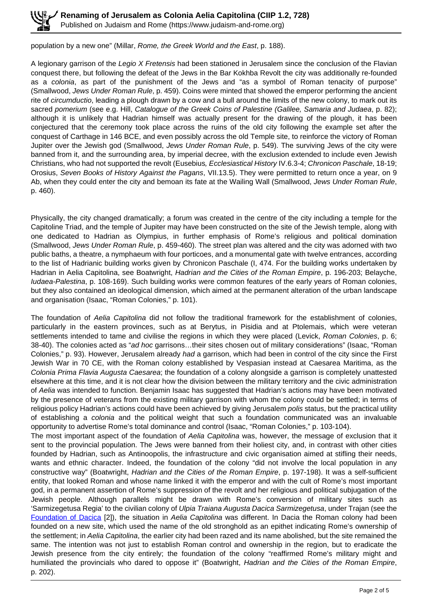population by a new one" (Millar, Rome, the Greek World and the East, p. 188).

A legionary garrison of the Legio X Fretensis had been stationed in Jerusalem since the conclusion of the Flavian conquest there, but following the defeat of the Jews in the Bar Kokhba Revolt the city was additionally re-founded as a colonia, as part of the punishment of the Jews and "as a symbol of Roman tenacity of purpose" (Smallwood, Jews Under Roman Rule, p. 459). Coins were minted that showed the emperor performing the ancient rite of *circumductio*, leading a plough drawn by a cow and a bull around the limits of the new colony, to mark out its sacred pomerium (see e.g. Hill, Catalogue of the Greek Coins of Palestine (Galilee, Samaria and Judaea, p. 82); although it is unlikely that Hadrian himself was actually present for the drawing of the plough, it has been conjectured that the ceremony took place across the ruins of the old city following the example set after the conquest of Carthage in 146 BCE, and even possibly across the old Temple site, to reinforce the victory of Roman Jupiter over the Jewish god (Smallwood, Jews Under Roman Rule, p. 549). The surviving Jews of the city were banned from it, and the surrounding area, by imperial decree, with the exclusion extended to include even Jewish Christians, who had not supported the revolt (Eusebius, Ecclesiastical History IV.6.3-4; Chronicon Paschale, 18-19; Orosius, Seven Books of History Against the Pagans, VII.13.5). They were permitted to return once a year, on 9 Ab, when they could enter the city and bemoan its fate at the Wailing Wall (Smallwood, Jews Under Roman Rule, p. 460).

Physically, the city changed dramatically; a forum was created in the centre of the city including a temple for the Capitoline Triad, and the temple of Jupiter may have been constructed on the site of the Jewish temple, along with one dedicated to Hadrian as Olympius, in further emphasis of Rome's religious and political domination (Smallwood, Jews Under Roman Rule, p. 459-460). The street plan was altered and the city was adorned with two public baths, a theatre, a nymphaeum with four porticoes, and a monumental gate with twelve entrances, according to the list of Hadrianic building works given by Chronicon Paschale (I, 474. For the building works undertaken by Hadrian in Aelia Capitolina, see Boatwright, Hadrian and the Cities of the Roman Empire, p. 196-203; Belayche, Iudaea-Palestina, p. 108-169). Such building works were common features of the early years of Roman colonies, but they also contained an ideological dimension, which aimed at the permanent alteration of the urban landscape and organisation (Isaac, "Roman Colonies," p. 101).

The foundation of Aelia Capitolina did not follow the traditional framework for the establishment of colonies, particularly in the eastern provinces, such as at Berytus, in Pisidia and at Ptolemais, which were veteran settlements intended to tame and civilise the regions in which they were placed (Levick, Roman Colonies, p. 6; 38-40). The colonies acted as "ad hoc garrisons...their sites chosen out of military considerations" (Isaac, "Roman Colonies," p. 93). However, Jerusalem already had a garrison, which had been in control of the city since the First Jewish War in 70 CE, with the Roman colony established by Vespasian instead at Caesarea Maritima, as the Colonia Prima Flavia Augusta Caesarea; the foundation of a colony alongside a garrison is completely unattested elsewhere at this time, and it is not clear how the division between the military territory and the civic administration of Aelia was intended to function. Benjamin Isaac has suggested that Hadrian's actions may have been motivated by the presence of veterans from the existing military garrison with whom the colony could be settled; in terms of religious policy Hadrian's actions could have been achieved by giving Jerusalem polis status, but the practical utility of establishing a colonia and the political weight that such a foundation communicated was an invaluable opportunity to advertise Rome's total dominance and control (Isaac, "Roman Colonies," p. 103-104).

The most important aspect of the foundation of Aelia Capitolina was, however, the message of exclusion that it sent to the provincial population. The Jews were banned from their holiest city, and, in contrast with other cities founded by Hadrian, such as Antinoopolis, the infrastructure and civic organisation aimed at stifling their needs, wants and ethnic character. Indeed, the foundation of the colony "did not involve the local population in any constructive way" (Boatwright, Hadrian and the Cities of the Roman Empire, p. 197-198). It was a self-sufficient entity, that looked Roman and whose name linked it with the emperor and with the cult of Rome's most important god, in a permanent assertion of Rome's suppression of the revolt and her religious and political subjugation of the Jewish people. Although parallels might be drawn with Rome's conversion of military sites such as 'Sarmizegetusa Regia' to the civilian colony of Ulpia Traiana Augusta Dacica Sarmizegetusa, under Trajan (see the Foundation of Dacica [2]), the situation in Aelia Capitolina was different. In Dacia the Roman colony had been founded on a new site, which used the name of the old stronghold as an epithet indicating Rome's ownership of the settlement; in Aelia Capitolina, the earlier city had been razed and its name abolished, but the site remained the same. The intention was not just to establish Roman control and ownership in the region, but to eradicate the Jewish presence from the city entirely; the foundation of the colony "reaffirmed Rome's military might and humiliated the provincials who dared to oppose it" (Boatwright, Hadrian and the Cities of the Roman Empire, p. 202).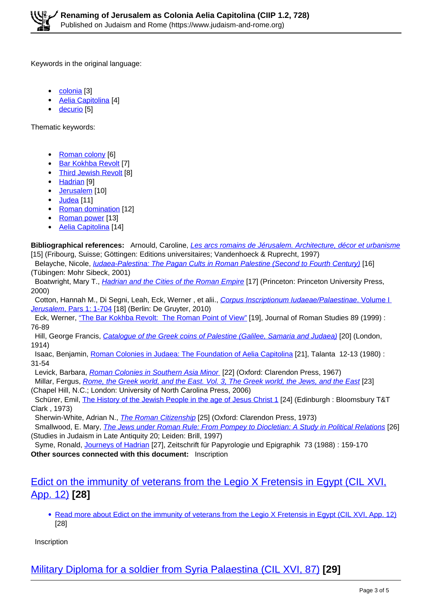Keywords in the original language:

- $\bullet$ colonia<sup>[3]</sup>
- Aelia Capitolina [4]
- decurio [5]

Thematic keywords:

- Roman colony [6]
- Bar Kokhba Revolt [7]
- Third Jewish Revolt [8]
- Hadrian [9]
- Jerusalem<sup>[10]</sup>
- Judea [11]
- Roman domination [12]
- Roman power [13]
- Aelia Capitolina [14]

**Bibliographical references:** Arnould, Caroline, Les arcs romains de Jérusalem. Architecture, décor et urbanisme [15] (Fribourg, Suisse; Göttingen: Editions universitaires; Vandenhoeck & Ruprecht, 1997)

Belayche, Nicole, *Judaea-Palestina: The Pagan Cults in Roman Palestine (Second to Fourth Century*) [16] (Tübingen: Mohr Sibeck, 2001)

Boatwright, Mary T., *Hadrian and the Cities of the Roman Empire* [17] (Princeton: Princeton University Press, 2000)

Cotton, Hannah M., Di Segni, Leah, Eck, Werner, et alii., Corpus Inscriptionum Iudaeae/Palaestinae. Volume L Jerusalem, Pars 1: 1-704 [18] (Berlin: De Gruyter, 2010)

 Eck, Werner, "The Bar Kokhba Revolt: The Roman Point of View" [19], Journal of Roman Studies 89 (1999) : 76-89

Hill, George Francis, Catalogue of the Greek coins of Palestine (Galilee, Samaria and Judaea) [20] (London, 1914)

 Isaac, Benjamin, Roman Colonies in Judaea: The Foundation of Aelia Capitolina [21], Talanta 12-13 (1980) : 31-54

Levick, Barbara, Roman Colonies in Southern Asia Minor [22] (Oxford: Clarendon Press, 1967)

Millar, Fergus, Rome, the Greek world, and the East. Vol. 3, The Greek world, the Jews, and the East [23] (Chapel Hill, N.C.; London: University of North Carolina Press, 2006)

 Schürer, Emil, The History of the Jewish People in the age of Jesus Christ 1 [24] (Edinburgh : Bloomsbury T&T Clark , 1973)

Sherwin-White, Adrian N., The Roman Citizenship [25] (Oxford: Clarendon Press, 1973)

Smallwood, E. Mary, *The Jews under Roman Rule: From Pompey to Diocletian: A Study in Political Relations* [26] (Studies in Judaism in Late Antiquity 20; Leiden: Brill, 1997)

 Syme, Ronald, Journeys of Hadrian [27], Zeitschrift für Papyrologie und Epigraphik 73 (1988) : 159-170 **Other sources connected with this document:** Inscription

#### Edict on the immunity of veterans from the Legio X Fretensis in Egypt (CIL XVI, App. 12) **[28]**

• Read more about Edict on the immunity of veterans from the Legio X Fretensis in Egypt (CIL XVI, App. 12) [28]

**Inscription** 

Military Diploma for a soldier from Syria Palaestina (CIL XVI, 87) **[29]**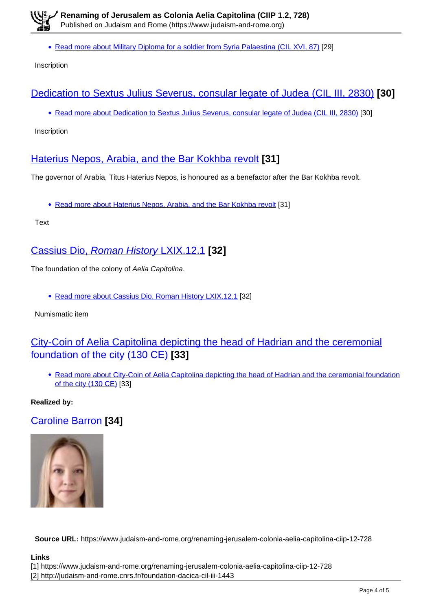• Read more about Military Diploma for a soldier from Syria Palaestina (CIL XVI, 87) [29]

Inscription

## Dedication to Sextus Julius Severus, consular legate of Judea (CIL III, 2830) **[30]**

• Read more about Dedication to Sextus Julius Severus, consular legate of Judea (CIL III, 2830) [30]

Inscription

## Haterius Nepos, Arabia, and the Bar Kokhba revolt **[31]**

The governor of Arabia, Titus Haterius Nepos, is honoured as a benefactor after the Bar Kokhba revolt.

• Read more about Haterius Nepos, Arabia, and the Bar Kokhba revolt [31]

Text

### Cassius Dio, Roman History LXIX.12.1 **[32]**

The foundation of the colony of Aelia Capitolina.

Read more about Cassius Dio, Roman History LXIX.12.1 [32]

Numismatic item

# City-Coin of Aelia Capitolina depicting the head of Hadrian and the ceremonial foundation of the city (130 CE) **[33]**

• Read more about City-Coin of Aelia Capitolina depicting the head of Hadrian and the ceremonial foundation of the city (130 CE) [33]

**Realized by:** 

Caroline Barron **[34]**



**Source URL:** https://www.judaism-and-rome.org/renaming-jerusalem-colonia-aelia-capitolina-ciip-12-728

#### **Links**

[1] https://www.judaism-and-rome.org/renaming-jerusalem-colonia-aelia-capitolina-ciip-12-728 [2] http://judaism-and-rome.cnrs.fr/foundation-dacica-cil-iii-1443